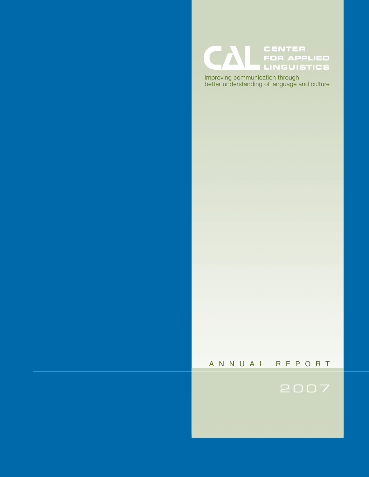

Improving communication through<br>better understanding of language and culture

# A N N U A L R E P O R T

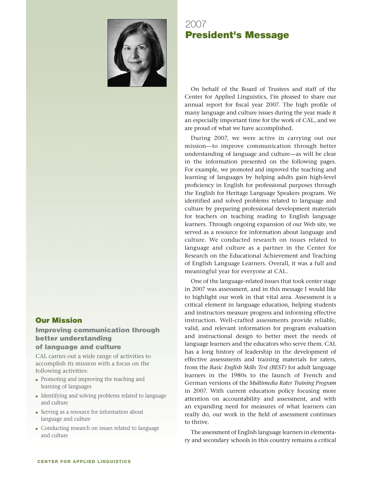

# Our Mission

## Improving communication through better understanding of language and culture

CAL carries out a wide range of activities to accomplish its mission with a focus on the following activities:

- Promoting and improving the teaching and learning of languages
- Identifying and solving problems related to language and culture
- Serving as a resource for information about language and culture
- Conducting research on issues related to language and culture

2007 President's Message

On behalf of the Board of Trustees and staff of the Center for Applied Linguistics, I'm pleased to share our annual report for fiscal year 2007. The high profile of many language and culture issues during the year made it an especially important time for the work of CAL, and we are proud of what we have accomplished.

During 2007, we were active in carrying out our mission—to improve communication through better understanding of language and culture—as will be clear in the information presented on the following pages. For example, we promoted and improved the teaching and learning of languages by helping adults gain high-level proficiency in English for professional purposes through the English for Heritage Language Speakers program. We identified and solved problems related to language and culture by preparing professional development materials for teachers on teaching reading to English language learners. Through ongoing expansion of our Web site, we served as a resource for information about language and culture. We conducted research on issues related to language and culture as a partner in the Center for Research on the Educational Achievement and Teaching of English Language Learners. Overall, it was a full and meaningful year for everyone at CAL.

One of the language-related issues that took center stage in 2007 was assessment, and in this message I would like to highlight our work in that vital area. Assessment is a critical element in language education, helping students and instructors measure progress and informing effective instruction. Well-crafted assessments provide reliable, valid, and relevant information for program evaluation and instructional design to better meet the needs of language learners and the educators who serve them. CAL has a long history of leadership in the development of effective assessments and training materials for raters, from the *Basic English Skills Test (BEST)* for adult language learners in the 1980s to the launch of French and German versions of the *Multimedia Rater Training Program* in 2007. With current education policy focusing more attention on accountability and assessment, and with an expanding need for measures of what learners can really do, our work in the field of assessment continues to thrive.

The assessment of English language learners in elementary and secondary schools in this country remains a critical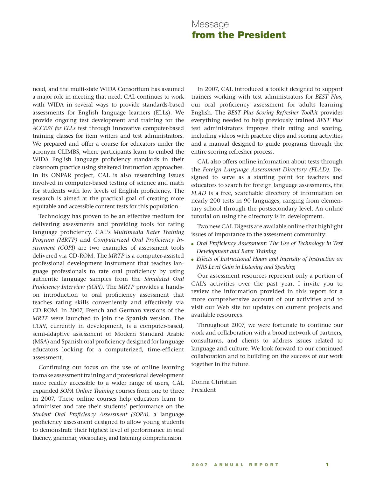# Message from the President

need, and the multi-state WIDA Consortium has assumed a major role in meeting that need. CAL continues to work with WIDA in several ways to provide standards-based assessments for English language learners (ELLs). We provide ongoing test development and training for the *ACCESS for ELLs* test through innovative computer-based training classes for item writers and test administrators. We prepared and offer a course for educators under the acronym CLIMBS, where participants learn to embed the WIDA English language proficiency standards in their classroom practice using sheltered instruction approaches. In its ONPAR project, CAL is also researching issues involved in computer-based testing of science and math for students with low levels of English proficiency. The research is aimed at the practical goal of creating more equitable and accessible content tests for this population.

Technology has proven to be an effective medium for delivering assessments and providing tools for rating language proficiency. CAL's *Multimedia Rater Training Program (MRTP)* and *Computerized Oral Proficiency Instrument (COPI)* are two examples of assessment tools delivered via CD-ROM. The *MRTP* is a computer-assisted professional development instrument that teaches language professionals to rate oral proficiency by using authentic language samples from the *Simulated Oral Proficiency Interview (SOPI)*. The *MRTP* provides a handson introduction to oral proficiency assessment that teaches rating skills conveniently and effectively via CD-ROM. In 2007, French and German versions of the *MRTP* were launched to join the Spanish version. The *COPI*, currently in development, is a computer-based, semi-adaptive assessment of Modern Standard Arabic (MSA) and Spanish oral proficiency designed for language educators looking for a computerized, time-efficient assessment.

Continuing our focus on the use of online learning to make assessment training and professional development more readily accessible to a wider range of users, CAL expanded *SOPA Online Training* courses from one to three in 2007. These online courses help educators learn to administer and rate their students' performance on the *Student Oral Proficiency Assessment (SOPA)*, a language proficiency assessment designed to allow young students to demonstrate their highest level of performance in oral fluency, grammar, vocabulary, and listening comprehension.

In 2007, CAL introduced a toolkit designed to support trainers working with test administrators for *BEST Plus*, our oral proficiency assessment for adults learning English. The *BEST Plus Scoring Refresher Toolkit* provides everything needed to help previously trained *BEST Plus* test administrators improve their rating and scoring, including videos with practice clips and scoring activities and a manual designed to guide programs through the entire scoring refresher process.

CAL also offers online information about tests through the *Foreign Language Assessment Directory (FLAD)*. Designed to serve as a starting point for teachers and educators to search for foreign language assessments, the *FLAD* is a free, searchable directory of information on nearly 200 tests in 90 languages, ranging from elementary school through the postsecondary level. An online tutorial on using the directory is in development.

Two new CAL Digests are available online that highlight issues of importance to the assessment community:

- Oral Proficiency Assessment: The Use of Technology in Test *Development and Rater Training*
- Effects of Instructional Hours and Intensity of Instruction on *NRS Level Gain in Listening and Speaking*

Our assessment resources represent only a portion of CAL's activities over the past year. I invite you to review the information provided in this report for a more comprehensive account of our activities and to visit our Web site for updates on current projects and available resources.

Throughout 2007, we were fortunate to continue our work and collaboration with a broad network of partners, consultants, and clients to address issues related to language and culture. We look forward to our continued collaboration and to building on the success of our work together in the future.

Donna Christian President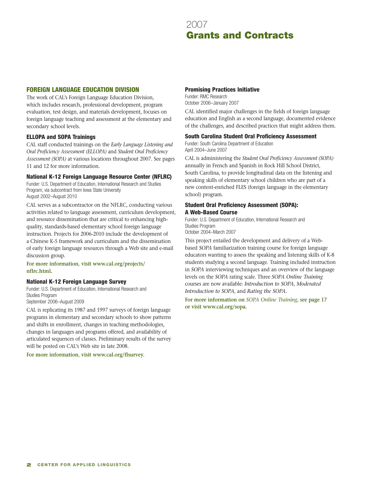## FOREIGN LANGUAGE EDUCATION DIVISION

The work of CAL's Foreign Language Education Division, which includes research, professional development, program evaluation, test design, and materials development, focuses on foreign language teaching and assessment at the elementary and secondary school levels.

### ELLOPA and SOPA Trainings

CAL staff conducted trainings on the *Early Language Listening and Oral Proficiency Assessment (ELLOPA)* and *Student Oral Proficiency Assessment (SOPA)* at various locations throughout 2007. See pages 11 and 12 for more information.

### National K-12 Foreign Language Resource Center (NFLRC)

Funder: U.S. Department of Education, International Research and Studies Program, via subcontract from Iowa State University August 2002–August 2010

CAL serves as a subcontractor on the NFLRC, conducting various activities related to language assessment, curriculum development, and resource dissemination that are critical to enhancing highquality, standards-based elementary school foreign language instruction. Projects for 2006-2010 include the development of a Chinese K-5 framework and curriculum and the dissemination of early foreign language resources through a Web site and e-mail discussion group.

### **For more information, visit www.cal.org/projects/ nflrc.html.**

#### National K-12 Foreign Language Survey

Funder: U.S. Department of Education, International Research and Studies Program September 2006–August 2009

CAL is replicating its 1987 and 1997 surveys of foreign language programs in elementary and secondary schools to show patterns and shifts in enrollment, changes in teaching methodologies, changes in languages and programs offered, and availability of articulated sequences of classes. Preliminary results of the survey will be posted on CAL's Web site in late 2008.

**For more information, visit www.cal.org/flsurvey.**

#### Promising Practices Initiative

Funder: RMC Research October 2006–January 2007

CAL identified major challenges in the fields of foreign language education and English as a second language, documented evidence of the challenges, and described practices that might address them.

#### South Carolina Student Oral Proficiency Assessment

Funder: South Carolina Department of Education April 2004–June 2007

CAL is administering the *Student Oral Proficiency Assessment (SOPA)* annually in French and Spanish in Rock Hill School District, South Carolina, to provide longitudinal data on the listening and speaking skills of elementary school children who are part of a new content-enriched FLES (foreign language in the elementary school) program.

#### Student Oral Proficiency Assessment (SOPA): A Web-Based Course

Funder: U.S. Department of Education, International Research and Studies Program

October 2004–March 2007

This project entailed the development and delivery of a Webbased *SOPA* familiarization training course for foreign language educators wanting to assess the speaking and listening skills of K-8 students studying a second language. Training included instruction in *SOPA* interviewing techniques and an overview of the language levels on the *SOPA* rating scale. Three *SOPA Online Training* courses are now available: *Introduction to SOPA*, *Moderated Introduction to SOPA*, and *Rating the SOPA*.

**For more information on** *SOPA Online Training***, see page 17 or visit www.cal.org/sopa.**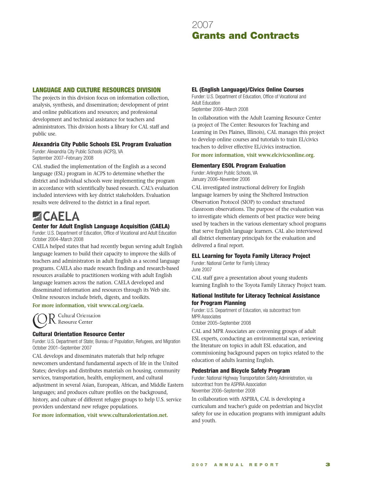## LANGUAGE AND CULTURE RESOURCES DIVISION

The projects in this division focus on information collection, analysis, synthesis, and dissemination; development of print and online publications and resources; and professional development and technical assistance for teachers and administrators. This division hosts a library for CAL staff and public use.

### Alexandria City Public Schools ESL Program Evaluation

Funder: Alexandria City Public Schools (ACPS), VA September 2007–February 2008

CAL studied the implementation of the English as a second language (ESL) program in ACPS to determine whether the district and individual schools were implementing the program in accordance with scientifically based research. CAL's evaluation included interviews with key district stakeholders. Evaluation results were delivered to the district in a final report.

# - САЕІ А

### Center for Adult English Language Acquisition (CAELA)

Funder: U.S. Department of Education, Office of Vocational and Adult Education October 2004–March 2008

CAELA helped states that had recently begun serving adult English language learners to build their capacity to improve the skills of teachers and administrators in adult English as a second language programs. CAELA also made research findings and research-based resources available to practitioners working with adult English language learners across the nation. CAELA developed and disseminated information and resources through its Web site. Online resources include briefs, digests, and toolkits.

**For more information, visit www.cal.org/caela.**

O Cultural Orientation **IN** Resource Center

## Cultural Orientation Resource Center

Funder: U.S. Department of State; Bureau of Population, Refugees, and Migration October 2001–September 2007

CAL develops and disseminates materials that help refugee newcomers understand fundamental aspects of life in the United States; develops and distributes materials on housing, community services, transportation, health, employment, and cultural adjustment in several Asian, European, African, and Middle Eastern languages; and produces culture profiles on the background, history, and culture of different refugee groups to help U.S. service providers understand new refugee populations.

#### **For more information, visit www.culturalorientation.net.**

#### EL (English Language)/Civics Online Courses

Funder: U.S. Department of Education, Office of Vocational and Adult Education

September 2006–March 2008

In collaboration with the Adult Learning Resource Center (a project of The Center: Resources for Teaching and Learning in Des Plaines, Illinois), CAL manages this project to develop online courses and tutorials to train EL/civics teachers to deliver effective EL/civics instruction.

#### **For more information, visit www.elcivicsonline.org.**

#### Elementary ESOL Program Evaluation

Funder: Arlington Public Schools, VA January 2006–November 2006

CAL investigated instructional delivery for English language learners by using the Sheltered Instruction Observation Protocol (SIOP) to conduct structured classroom observations. The purpose of the evaluation was to investigate which elements of best practice were being used by teachers in the various elementary school programs that serve English language learners. CAL also interviewed all district elementary principals for the evaluation and delivered a final report.

#### ELL Learning for Toyota Family Literacy Project

Funder: National Center for Family Literacy June 2007

CAL staff gave a presentation about young students learning English to the Toyota Family Literacy Project team.

### National Institute for Literacy Technical Assistance for Program Planning

Funder: U.S. Department of Education, via subcontract from MPR Associates October 2005–September 2008

CAL and MPR Associates are convening groups of adult ESL experts, conducting an environmental scan, reviewing the literature on topics in adult ESL education, and commissioning background papers on topics related to the education of adults learning English.

#### Pedestrian and Bicycle Safety Program

Funder: National Highway Transportation Safety Administration, via subcontract from the ASPIRA Association November 2006–September 2008

In collaboration with ASPIRA, CAL is developing a curriculum and teacher's guide on pedestrian and bicyclist safety for use in education programs with immigrant adults and youth.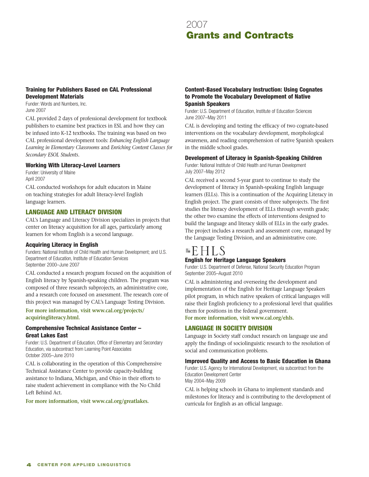## Training for Publishers Based on CAL Professional Development Materials

Funder: Words and Numbers, Inc. June 2007

CAL provided 2 days of professional development for textbook publishers to examine best practices in ESL and how they can be infused into K-12 textbooks. The training was based on two CAL professional development tools: *Enhancing English Language Learning in Elementary Classrooms* and *Enriching Content Classes for Secondary ESOL Students*.

#### Working With Literacy-Level Learners

Funder: University of Maine April 2007

CAL conducted workshops for adult educators in Maine on teaching strategies for adult literacy-level English language learners.

## LANGUAGE AND LITERACY DIVISION

CAL's Language and Literacy Division specializes in projects that center on literacy acquisition for all ages, particularly among learners for whom English is a second language.

#### Acquiring Literacy in English

Funders: National Institute of Child Health and Human Development; and U.S. Department of Education, Institute of Education Services September 2000–June 2007

CAL conducted a research program focused on the acquisition of English literacy by Spanish-speaking children. The program was composed of three research subprojects, an administrative core, and a research core focused on assessment. The research core of this project was managed by CAL's Language Testing Division.

**For more information, visit www.cal.org/projects/ acquiringliteracy.html.**

#### Comprehensive Technical Assistance Center – Great Lakes East

Funder: U.S. Department of Education, Office of Elementary and Secondary Education, via subcontract from Learning Point Associates October 2005–June 2010

CAL is collaborating in the operation of this Comprehensive Technical Assistance Center to provide capacity-building assistance to Indiana, Michigan, and Ohio in their efforts to raise student achievement in compliance with the No Child Left Behind Act.

**For more information, visit www.cal.org/greatlakes.**

#### Content-Based Vocabulary Instruction: Using Cognates to Promote the Vocabulary Development of Native Spanish Speakers

Funder: U.S. Department of Education, Institute of Education Sciences June 2007–May 2011

CAL is developing and testing the efficacy of two cognate-based interventions on the vocabulary development, morphological awareness, and reading comprehension of native Spanish speakers in the middle school grades.

#### Development of Literacy in Spanish-Speaking Children

Funder: National Institute of Child Health and Human Development July 2007–May 2012

CAL received a second 5-year grant to continue to study the development of literacy in Spanish-speaking English language learners (ELLs). This is a continuation of the Acquiring Literacy in English project. The grant consists of three subprojects. The first studies the literacy development of ELLs through seventh grade; the other two examine the effects of interventions designed to build the language and literacy skills of ELLs in the early grades. The project includes a research and assessment core, managed by the Language Testing Division, and an administrative core.

# $E HLS$ English for Heritage Language Speakers

Funder: U.S. Department of Defense, National Security Education Program September 2005–August 2010

CAL is administering and overseeing the development and implementation of the English for Heritage Language Speakers pilot program, in which native speakers of critical languages will raise their English proficiency to a professional level that qualifies them for positions in the federal government.

**For more information, visit www.cal.org/ehls.**

# LANGUAGE IN SOCIETY DIVISION

Language in Society staff conduct research on language use and apply the findings of sociolinguistic research to the resolution of social and communication problems.

#### Improved Quality and Access to Basic Education in Ghana

Funder: U.S. Agency for International Development, via subcontract from the Education Development Center May 2004–May 2009

CAL is helping schools in Ghana to implement standards and milestones for literacy and is contributing to the development of curricula for English as an official language.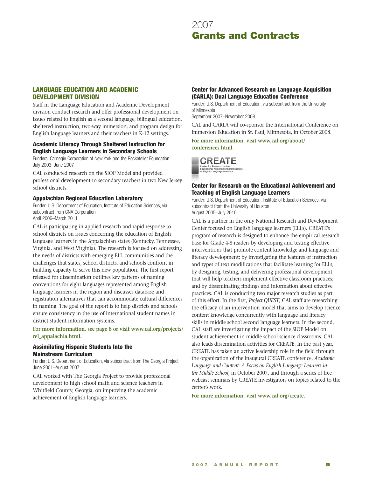

### LANGUAGE EDUCATION AND ACADEMIC DEVELOPMENT DIVISION

Staff in the Language Education and Academic Development division conduct research and offer professional development on issues related to English as a second language, bilingual education, sheltered instruction, two-way immersion, and program design for English language learners and their teachers in K-12 settings.

#### Academic Literacy Through Sheltered Instruction for English Language Learners in Secondary Schools

Funders: Carnegie Corporation of New York and the Rockefeller Foundation July 2003–June 2007

CAL conducted research on the SIOP Model and provided professional development to secondary teachers in two New Jersey school districts.

#### Appalachian Regional Education Laboratory

Funder: U.S. Department of Education, Institute of Education Sciences, via subcontract from CNA Corporation April 2006–March 2011

CAL is participating in applied research and rapid response to school districts on issues concerning the education of English language learners in the Appalachian states (Kentucky, Tennessee, Virginia, and West Virginia). The research is focused on addressing the needs of districts with emerging ELL communities and the challenges that states, school districts, and schools confront in building capacity to serve this new population. The first report released for dissemination outlines key patterns of naming conventions for eight languages represented among English language learners in the region and discusses database and registration alternatives that can accommodate cultural differences in naming. The goal of the report is to help districts and schools ensure consistency in the use of international student names in district student information systems.

**For more information, see page 8 or visit www.cal.org/projects/ rel\_appalachia.html.**

#### Assimilating Hispanic Students Into the Mainstream Curriculum

Funder: U.S. Department of Education, via subcontract from The Georgia Project June 2001–August 2007

CAL worked with The Georgia Project to provide professional development to high school math and science teachers in Whitfield County, Georgia, on improving the academic achievement of English language learners.

#### Center for Advanced Research on Language Acquisition (CARLA): Dual Language Education Conference

Funder: U.S. Department of Education, via subcontract from the University of Minnesota

September 2007–November 2008

CAL and CARLA will co-sponsor the International Conference on Immersion Education in St. Paul, Minnesota, in October 2008.

**For more information, visit www.cal.org/about/ conferences.html.**



#### Center for Research on the Educational Achievement and Teaching of English Language Learners

Funder: U.S. Department of Education, Institute of Education Sciences, via subcontract from the University of Houston August 2005–July 2010

CAL is a partner in the only National Research and Development Center focused on English language learners (ELLs). CREATE's program of research is designed to enhance the empirical research base for Grade 4-8 readers by developing and testing effective interventions that promote content knowledge and language and literacy development; by investigating the features of instruction and types of text modifications that facilitate learning for ELLs; by designing, testing, and delivering professional development that will help teachers implement effective classroom practices; and by disseminating findings and information about effective practices. CAL is conducting two major research studies as part of this effort. In the first, *Project QUEST*, CAL staff are researching the efficacy of an intervention model that aims to develop science content knowledge concurrently with language and literacy skills in middle school second language learners. In the second, CAL staff are investigating the impact of the SIOP Model on student achievement in middle school science classrooms. CAL also leads dissemination activities for CREATE. In the past year, CREATE has taken an active leadership role in the field through the organization of the inaugural CREATE conference, *Academic Language and Content: A Focus on English Language Learners in the Middle School*, in October 2007, and through a series of free webcast seminars by CREATE investigators on topics related to the center's work.

**For more information, visit www.cal.org/create.**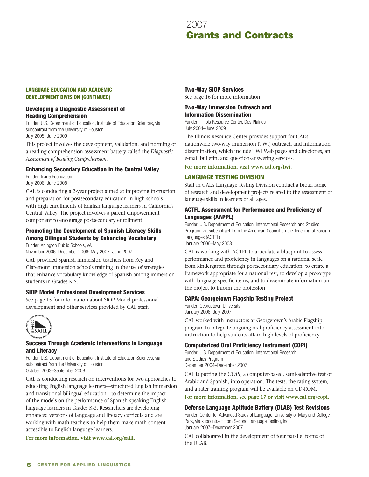#### LANGUAGE EDUCATION AND ACADEMIC DEVELOPMENT DIVISION (continued)

### Developing a Diagnostic Assessment of Reading Comprehension

Funder: U.S. Department of Education, Institute of Education Sciences, via subcontract from the University of Houston July 2005–June 2009

This project involves the development, validation, and norming of a reading comprehension assessment battery called the *Diagnostic Assessment of Reading Comprehension*.

#### Enhancing Secondary Education in the Central Valley

Funder: Irvine Foundation July 2006–June 2008

CAL is conducting a 2-year project aimed at improving instruction and preparation for postsecondary education in high schools with high enrollments of English language learners in California's Central Valley. The project involves a parent empowerment component to encourage postsecondary enrollment.

#### Promoting the Development of Spanish Literacy Skills Among Bilingual Students by Enhancing Vocabulary

Funder: Arlington Public Schools, VA November 2006–December 2006; May 2007–June 2007

CAL provided Spanish immersion teachers from Key and Claremont immersion schools training in the use of strategies that enhance vocabulary knowledge of Spanish among immersion students in Grades K-5.

#### SIOP Model Professional Development Services

See page 15 for information about SIOP Model professional development and other services provided by CAL staff.



#### Success Through Academic Interventions in Language and Literacy

Funder: U.S. Department of Education, Institute of Education Sciences, via subcontract from the University of Houston October 2003–September 2008

CAL is conducting research on interventions for two approaches to educating English language learners—structured English immersion and transitional bilingual education—to determine the impact of the models on the performance of Spanish-speaking English language learners in Grades K-3. Researchers are developing enhanced versions of language and literacy curricula and are working with math teachers to help them make math content accessible to English language learners.

**For more information, visit www.cal.org/saill.**

Two-Way SIOP Services

See page 16 for more information.

#### Two-Way Immersion Outreach and Information Dissemination

Funder: Illinois Resource Center, Des Plaines July 2004–June 2009

The Illinois Resource Center provides support for CAL's nationwide two-way immersion (TWI) outreach and information dissemination, which include TWI Web pages and directories, an e-mail bulletin, and question-answering services.

**For more information, visit www.cal.org/twi.**

# LANGUAGE TESTING DIVISION

Staff in CAL's Language Testing Division conduct a broad range of research and development projects related to the assessment of language skills in learners of all ages.

#### ACTFL Assessment for Performance and Proficiency of Languages (AAPPL)

Funder: U.S. Department of Education, International Research and Studies Program, via subcontract from the American Council on the Teaching of Foreign Languages (ACTFL)

January 2006–May 2008

CAL is working with ACTFL to articulate a blueprint to assess performance and proficiency in languages on a national scale from kindergarten through postsecondary education; to create a framework appropriate for a national test; to develop a prototype with language-specific items; and to disseminate information on the project to inform the profession.

## CAPA: Georgetown Flagship Testing Project

Funder: Georgetown University January 2006–July 2007

CAL worked with instructors at Georgetown's Arabic Flagship program to integrate ongoing oral proficiency assessment into instruction to help students attain high levels of proficiency.

## Computerized Oral Proficiency Instrument (COPI)

Funder: U.S. Department of Education, International Research and Studies Program December 2004–December 2007

CAL is putting the *COPI*, a computer-based, semi-adaptive test of Arabic and Spanish, into operation. The tests, the rating system, and a rater training program will be available on CD-ROM.

**For more information, see page 17 or visit www.cal.org/copi.**

#### Defense Language Aptitude Battery (DLAB) Test Revisions

Funder: Center for Advanced Study of Language, University of Maryland College Park, via subcontract from Second Language Testing, Inc. January 2007–December 2007

CAL collaborated in the development of four parallel forms of the DLAB.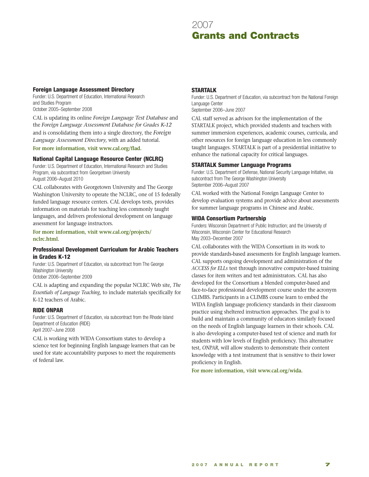#### Foreign Language Assessment Directory

Funder: U.S. Department of Education, International Research and Studies Program October 2005–September 2008

CAL is updating its online *Foreign Language Test Database* and the *Foreign Language Assessment Database for Grades K-12* and is consolidating them into a single directory, the *Foreign Language Assessment Directory*, with an added tutorial.

**For more information, visit www.cal.org/flad.**

#### National Capital Language Resource Center (NCLRC)

Funder: U.S. Department of Education, International Research and Studies Program, via subcontract from Georgetown University August 2006–August 2010

CAL collaborates with Georgetown University and The George Washington University to operate the NCLRC, one of 15 federally funded language resource centers. CAL develops tests, provides information on materials for teaching less commonly taught languages, and delivers professional development on language assessment for language instructors.

**For more information, visit www.cal.org/projects/ nclrc.html.**

#### Professional Development Curriculum for Arabic Teachers in Grades K-12

Funder: U.S. Department of Education, via subcontract from The George Washington University

October 2006–September 2009

CAL is adapting and expanding the popular NCLRC Web site, *The Essentials of Language Teaching*, to include materials specifically for K-12 teachers of Arabic.

#### RIDE ONPAR

Funder: U.S. Department of Education, via subcontract from the Rhode Island Department of Education (RIDE) April 2007–June 2008

CAL is working with WIDA Consortium states to develop a science test for beginning English language learners that can be used for state accountability purposes to meet the requirements of federal law.

### STARTALK

Funder: U.S. Department of Education, via subcontract from the National Foreign Language Center

September 2006–June 2007

CAL staff served as advisors for the implementation of the STARTALK project, which provided students and teachers with summer immersion experiences, academic courses, curricula, and other resources for foreign language education in less commonly taught languages. STARTALK is part of a presidential initiative to enhance the national capacity for critical languages.

#### STARTALK Summer Language Programs

Funder: U.S. Department of Defense, National Security Language Initiative, via subcontract from The George Washington University September 2006–August 2007

CAL worked with the National Foreign Language Center to develop evaluation systems and provide advice about assessments for summer language programs in Chinese and Arabic.

#### WIDA Consortium Partnership

Funders: Wisconsin Department of Public Instruction; and the University of Wisconsin, Wisconsin Center for Educational Research May 2003–December 2007

CAL collaborates with the WIDA Consortium in its work to provide standards-based assessments for English language learners. CAL supports ongoing development and administration of the *ACCESS for ELLs* test through innovative computer-based training classes for item writers and test administrators. CAL has also developed for the Consortium a blended computer-based and face-to-face professional development course under the acronym CLIMBS. Participants in a CLIMBS course learn to embed the WIDA English language proficiency standards in their classroom practice using sheltered instruction approaches. The goal is to build and maintain a community of educators similarly focused on the needs of English language learners in their schools. CAL is also developing a computer-based test of science and math for students with low levels of English proficiency. This alternative test, *ONPAR*, will allow students to demonstrate their content knowledge with a test instrument that is sensitive to their lower proficiency in English.

**For more information, visit www.cal.org/wida.**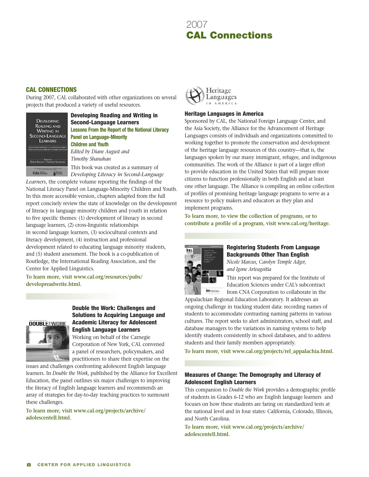# 2007 CAL Connections

### CAL Connections

During 2007, CAL collaborated with other organizations on several projects that produced a variety of useful resources.



Developing Reading and Writing in Second-Language Learners **Lessons From the Report of the National Literacy Panel on Language-Minority Children and Youth**  *Edited by Diane August and Timothy Shanahan* 

This book was created as a summary of *Developing Literacy in Second-Language* 

*Learners*, the complete volume reporting the findings of the National Literacy Panel on Language-Minority Children and Youth. In this more accessible version, chapters adapted from the full report concisely review the state of knowledge on the development of literacy in language minority children and youth in relation to five specific themes: (1) development of literacy in second language learners, (2) cross-linguistic relationships in second language learners, (3) sociocultural contexts and literacy development, (4) instruction and professional development related to educating language minority students, and (5) student assessment. The book is a co-publication of Routledge, the International Reading Association, and the Center for Applied Linguistics.

**To learn more, visit www.cal.org/resources/pubs/ developreadwrite.html.**



## Double the Work: Challenges and Solutions to Acquiring Language and Academic Literacy for Adolescent English Language Learners

Working on behalf of the Carnegie Corporation of New York, CAL convened a panel of researchers, policymakers, and practitioners to share their expertise on the

issues and challenges confronting adolescent English language learners. In *Double the Work*, published by the Alliance for Excellent Education, the panel outlines six major challenges to improving the literacy of English language learners and recommends an array of strategies for day-to-day teaching practices to surmount these challenges.

**To learn more, visit www.cal.org/projects/archive/ adolescentell.html.**



#### Heritage Languages in America

Sponsored by CAL, the National Foreign Language Center, and the Asia Society, the Alliance for the Advancement of Heritage Languages consists of individuals and organizations committed to working together to promote the conservation and development of the heritage language resources of this country—that is, the languages spoken by our many immigrant, refugee, and indigenous communities. The work of the Alliance is part of a larger effort to provide education in the United States that will prepare more citizens to function professionally in both English and at least one other language. The Alliance is compiling an online collection of profiles of promising heritage language programs to serve as a resource to policy makers and educators as they plan and implement programs.

**To learn more, to view the collection of programs, or to contribute a profile of a program, visit www.cal.org/heritage.**



# Registering Students From Language Backgrounds Other Than English

*Nicole Marcus, Carolyn Temple Adger, and Igone Arteagoitia*

This report was prepared for the Institute of Education Sciences under CAL's subcontract from CNA Corporation to collaborate in the

Appalachian Regional Education Laboratory. It addresses an ongoing challenge in tracking student data: recording names of students to accommodate contrasting naming patterns in various cultures. The report seeks to alert administrators, school staff, and database managers to the variations in naming systems to help identify students consistently in school databases, and to address students and their family members appropriately.

**To learn more, visit www.cal.org/projects/rel\_appalachia.html.**

### Measures of Change: The Demography and Literacy of Adolescent English Learners

This companion to *Double the Work* provides a demographic profile of students in Grades 6-12 who are English language learners and focuses on how these students are faring on standardized tests at the national level and in four states: California, Colorado, Illinois, and North Carolina.

**To learn more, visit www.cal.org/projects/archive/ adolescentell.html.**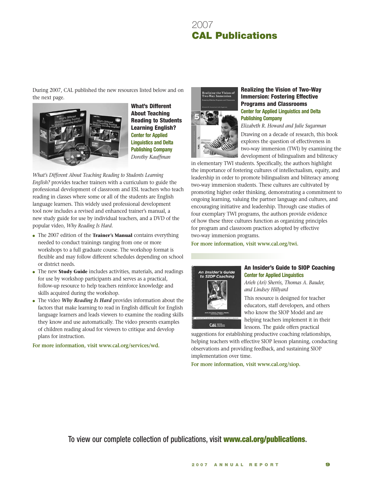# 2007 CAL Publications

During 2007, CAL published the new resources listed below and on the next page.



What's Different About Teaching Reading to Students Learning English? **Center for Applied Linguistics and Delta Publishing Company** *Dorothy Kauffman*

*What's Different About Teaching Reading to Students Learning English?* provides teacher trainers with a curriculum to guide the professional development of classroom and ESL teachers who teach reading in classes where some or all of the students are English language learners. This widely used professional development tool now includes a revised and enhanced trainer's manual, a new study guide for use by individual teachers, and a DVD of the popular video, *Why Reading Is Hard*.

- The 2007 edition of the **Trainer's Manual** contains everything needed to conduct trainings ranging from one or more workshops to a full graduate course. The workshop format is flexible and may follow different schedules depending on school or district needs.
- The new **Study Guide** includes activities, materials, and readings for use by workshop participants and serves as a practical, follow-up resource to help teachers reinforce knowledge and skills acquired during the workshop.
- The video *Why Reading Is Hard* provides information about the factors that make learning to read in English difficult for English language learners and leads viewers to examine the reading skills they know and use automatically. The video presents examples of children reading aloud for viewers to critique and develop plans for instruction.

**For more information, visit www.cal.org/services/wd.**



#### Realizing the Vision of Two-Way Immersion: Fostering Effective Programs and Classrooms **Center for Applied Linguistics and Delta Publishing Company**

*Elizabeth R. Howard and Julie Sugarman* Drawing on a decade of research, this book explores the question of effectiveness in two-way immersion (TWI) by examining the development of bilingualism and biliteracy

in elementary TWI students. Specifically, the authors highlight the importance of fostering cultures of intellectualism, equity, and leadership in order to promote bilingualism and biliteracy among two-way immersion students. These cultures are cultivated by promoting higher order thinking, demonstrating a commitment to ongoing learning, valuing the partner language and cultures, and encouraging initiative and leadership. Through case studies of four exemplary TWI programs, the authors provide evidence of how these three cultures function as organizing principles for program and classroom practices adopted by effective two-way immersion programs.

**For more information, visit www.cal.org/twi.**



### An Insider's Guide to SIOP Coaching **Center for Applied Linguistics**

*Arieh (Ari) Sherris, Thomas A. Bauder, and Lindsey Hillyard*

This resource is designed for teacher educators, staff developers, and others who know the SIOP Model and are helping teachers implement it in their

 $CAL = 1$ lessons. The guide offers practical suggestions for establishing productive coaching relationships, helping teachers with effective SIOP lesson planning, conducting observations and providing feedback, and sustaining SIOP

implementation over time. **For more information, visit www.cal.org/siop.**

To view our complete collection of publications, visit **www.cal.org/publications.**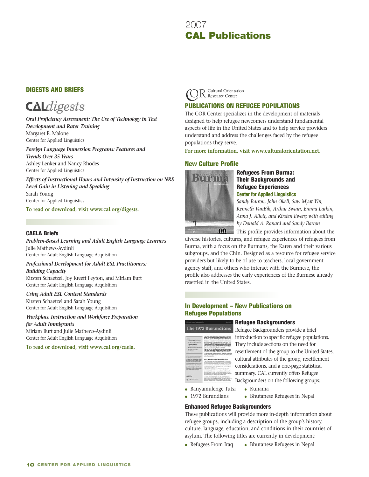# 2007 2007 **CAL Publications**

# Digests and Briefs



*Oral Proficiency Assessment: The Use of Technology in Test Development and Rater Training* Margaret E. Malone Center for Applied Linguistics

*Foreign Language Immersion Programs: Features and Trends Over 35 Years* Ashley Lenker and Nancy Rhodes Center for Applied Linguistics

*Effects of Instructional Hours and Intensity of Instruction on NRS Level Gain in Listening and Speaking* Sarah Young Center for Applied Linguistics

**To read or download, visit www.cal.org/digests.**

#### CAELA Briefs

*Problem-Based Learning and Adult English Language Learners* Julie Mathews-Aydinli Center for Adult English Language Acquisition

*Professional Development for Adult ESL Practitioners: Building Capacity*

Kirsten Schaetzel, Joy Kreeft Peyton, and Miriam Burt Center for Adult English Language Acquisition

*Using Adult ESL Content Standards* Kirsten Schaetzel and Sarah Young Center for Adult English Language Acquisition

*Workplace Instruction and Workforce Preparation for Adult Immigrants*

Miriam Burt and Julie Mathews-Aydinli Center for Adult English Language Acquisition

**To read or download, visit www.cal.org/caela.**



# Publications on Refugee Populations

The COR Center specializes in the development of materials designed to help refugee newcomers understand fundamental aspects of life in the United States and to help service providers understand and address the challenges faced by the refugee populations they serve.

**For more information, visit www.culturalorientation.net.**

### New Culture Profile



Refugees From Burma: Their Backgrounds and Refugee Experiences **Center for Applied Linguistics**

*Sandy Barron, John Okell, Saw Myat Yin, Kenneth VanBik, Arthur Swain, Emma Larkin, Anna J. Allott, and Kirsten Ewers; with editing by Donald A. Ranard and Sandy Barron*

This profile provides information about the

diverse histories, cultures, and refugee experiences of refugees from Burma, with a focus on the Burmans, the Karen and their various subgroups, and the Chin. Designed as a resource for refugee service providers but likely to be of use to teachers, local government agency staff, and others who interact with the Burmese, the profile also addresses the early experiences of the Burmese already resettled in the United States.

## In Development – New Publications on Refugee Populations

#### Refugee Backgrounders The 1972 Burundians



Refugee Backgrounders provide a brief introduction to specific refugee populations. They include sections on the need for resettlement of the group to the United States, cultural attributes of the group, resettlement considerations, and a one-page statistical summary. CAL currently offers Refugee Backgrounders on the following groups:

• Banyamulenge Tutsi • Kunama • 1972 Burundians

• Bhutanese Refugees in Nepal

# Enhanced Refugee Backgrounders

These publications will provide more in-depth information about refugee groups, including a description of the group's history, culture, language, education, and conditions in their countries of asylum. The following titles are currently in development:

• Bhutanese Refugees in Nepal • Refugees From Iraq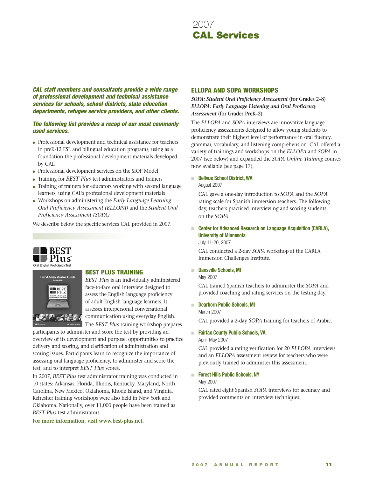

*CAL staff members and consultants provide a wide range of professional development and technical assistance services for schools, school districts, state education departments, refugee service providers, and other clients.*

#### *The following list provides a recap of our most commonly used services.*

- Professional development and technical assistance for teachers in preK-12 ESL and bilingual education programs, using as a foundation the professional development materials developed by CAL
- Professional development services on the SIOP Model
- Training for *BEST Plus* test administrators and trainers
- Training of trainers for educators working with second language learners, using CAL's professional development materials
- Workshops on administering the *Early Language Learning Oral Proficiency Assessment (ELLOPA)* and the *Student Oral Proficiency Assessment (SOPA)*

We describe below the specific services CAL provided in 2007.





#### BEST Plus Training

*BEST Plus* is an individually administered face-to-face oral interview designed to assess the English language proficiency of adult English language learners. It assesses interpersonal conversational communication using everyday English.

The *BEST Plus* training workshop prepares

participants to administer and score the test by providing an overview of its development and purpose, opportunities to practice delivery and scoring, and clarification of administration and scoring issues. Participants learn to recognize the importance of assessing oral language proficiency, to administer and score the test, and to interpret *BEST Plus* scores.

In 2007, *BEST Plus* test administrator training was conducted in 10 states: Arkansas, Florida, Illinois, Kentucky, Maryland, North Carolina, New Mexico, Oklahoma, Rhode Island, and Virginia. Refresher training workshops were also held in New York and Oklahoma. Nationally, over 11,000 people have been trained as *BEST Plus* test administrators.

**For more information, visit www.best-plus.net.**

#### ELLOPA and SOPA Workshops

*SOPA: Student Oral Proficiency Assessment* **(for Grades 2–8)** *ELLOPA: Early Language Listening and Oral Proficiency Assessment* **(for Grades PreK–2)**

The *ELLOPA* and *SOPA* interviews are innovative language proficiency assessments designed to allow young students to demonstrate their highest level of performance in oral fluency, grammar, vocabulary, and listening comprehension. CAL offered a variety of trainings and workshops on the *ELLOPA* and *SOPA* in 2007 (see below) and expanded the *SOPA Online Training* courses now available (see page 17).

#### **Rellvue School District, WA** August 2007

CAL gave a one-day introduction to *SOPA* and the *SOPA* rating scale for Spanish immersion teachers. The following day, teachers practiced interviewing and scoring students on the *SOPA*.

#### **Center for Advanced Research on Language Acquisition (CARLA), University of Minnesota** July 11-20, 2007 n

CAL conducted a 2-day *SOPA* workshop at the CARLA Immersion Challenges Institute.

#### **No. 5 Dansville Schools, MI**

May 2007

CAL trained Spanish teachers to administer the *SOPA* and provided coaching and rating services on the testing day.

#### **Example 2 Dearborn Public Schools, MI**

March 2007

CAL provided a 2-day *SOPA* training for teachers of Arabic.

#### **Fairfax County Public Schools, VA** n

April–May 2007

CAL provided a rating verification for 20 *ELLOPA* interviews and an *ELLOPA* assessment review for teachers who were previously trained to administer this assessment.

#### **Forest Hills Public Schools, NY** n

May 2007

CAL rated eight Spanish *SOPA* interviews for accuracy and provided comments on interview techniques.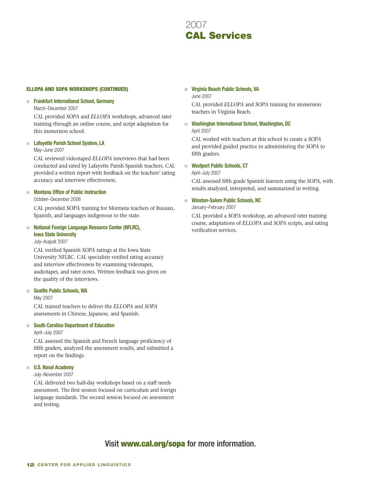# 2007 2007 **CAL Services**

#### ELLOPA and SOPA Workshops (continued)

#### **Frankfurt International School, Germany** n

#### March–December 2007

CAL provided *SOPA* and *ELLOPA* workshops, advanced rater training through an online course, and script adaptation for this immersion school.

#### ■ Lafayette Parish School System, LA

#### May–June 2007

CAL reviewed videotaped *ELLOPA* interviews that had been conducted and rated by Lafayette Parish Spanish teachers. CAL provided a written report with feedback on the teachers' rating accuracy and interview effectiveness.

#### **Montana Office of Public Instruction** n

October–December 2006

CAL provided *SOPA* training for Montana teachers of Russian, Spanish, and languages indigenous to the state.

#### **National Foreign Language Resource Center (NFLRC), Iowa State University** n

July–August 2007

CAL verified Spanish *SOPA* ratings at the Iowa State University NFLRC. CAL specialists verified rating accuracy and interview effectiveness by examining videotapes, audiotapes, and rater notes. Written feedback was given on the quality of the interviews.

#### ■ Seattle Public Schools, WA

#### May 2007

CAL trained teachers to deliver the *ELLOPA* and *SOPA* assessments in Chinese, Japanese, and Spanish.

#### **South Carolina Department of Education** n

#### April–July 2007

CAL assessed the Spanish and French language proficiency of fifth graders, analyzed the assessment results, and submitted a report on the findings.

#### **U.S. Naval Academy** n

#### July–November 2007

CAL delivered two half-day workshops based on a staff needs assessment. The first session focused on curriculum and foreign language standards. The second session focused on assessment and testing.

# **Virginia Beach Public Schools, VA** n

June 2007

CAL provided *ELLOPA* and *SOPA* training for immersion teachers in Virginia Beach.

■ Washington International School, Washington, DC April 2007

CAL worked with teachers at this school to create a *SOPA* and provided guided practice in administering the *SOPA* to fifth graders.

**Westport Public Schools, CT** n

#### April–July 2007

CAL assessed fifth grade Spanish learners using the *SOPA*, with results analyzed, interpreted, and summarized in writing.

#### **Winston-Salem Public Schools, NC** n

January–February 2007

CAL provided a *SOPA* workshop, an advanced rater training course, adaptations of *ELLOPA* and *SOPA* scripts, and rating verification services.

# Visit www.cal.org/sopa for more information.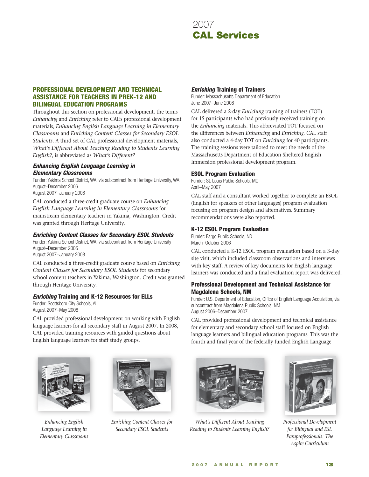

#### Professional Development and Technical Assistance for Teachers in preK-12 and Bilingual Education Programs

Throughout this section on professional development, the terms *Enhancing* and *Enriching* refer to CAL's professional development materials, *Enhancing English Language Learning in Elementary Classrooms* and *Enriching Content Classes for Secondary ESOL Students*. A third set of CAL professional development materials, *What's Different About Teaching Reading to Students Learning English?*, is abbreviated as *What's Different?*

#### *Enhancing English Language Learning in Elementary Classrooms*

Funder: Yakima School District, WA, via subcontract from Heritage University, WA August–December 2006 August 2007–January 2008

CAL conducted a three-credit graduate course on *Enhancing English Language Learning in Elementary Classrooms* for mainstream elementary teachers in Yakima, Washington. Credit was granted through Heritage University.

#### *Enriching Content Classes for Secondary ESOL Students*

Funder: Yakima School District, WA, via subcontract from Heritage University August–December 2006 August 2007–January 2008

CAL conducted a three-credit graduate course based on *Enriching Content Classes for Secondary ESOL Students* for secondary school content teachers in Yakima, Washington. Credit was granted

#### *Enriching* Training and K-12 Resources for ELLs

Funder: Scottsboro City Schools, AL August 2007–May 2008

through Heritage University.

CAL provided professional development on working with English language learners for all secondary staff in August 2007. In 2008, CAL provided training resources with guided questions about English language learners for staff study groups.



*Enhancing English Language Learning in Elementary Classrooms*



*Enriching Content Classes for Secondary ESOL Students*

#### *Enriching* Training of Trainers

Funder: Massachusetts Department of Education June 2007–June 2008

CAL delivered a 2-day *Enriching* training of trainers (TOT) for 15 participants who had previously received training on the *Enhancing* materials. This abbreviated TOT focused on the differences between *Enhancing* and *Enriching*. CAL staff also conducted a 4-day TOT on *Enriching* for 40 participants. The training sessions were tailored to meet the needs of the Massachusetts Department of Education Sheltered English Immersion professional development program.

#### ESOL Program Evaluation

Funder: St. Louis Public Schools, MO April–May 2007

CAL staff and a consultant worked together to complete an ESOL (English for speakers of other languages) program evaluation focusing on program design and alternatives. Summary recommendations were also reported.

#### K-12 ESOL Program Evaluation

Funder: Fargo Public Schools, ND March–October 2006

CAL conducted a K-12 ESOL program evaluation based on a 3-day site visit, which included classroom observations and interviews with key staff. A review of key documents for English language learners was conducted and a final evaluation report was delivered.

#### Professional Development and Technical Assistance for Magdalena Schools, NM

Funder: U.S. Department of Education, Office of English Language Acquisition, via subcontract from Magdalena Public Schools, NM August 2006–December 2007

CAL provided professional development and technical assistance for elementary and secondary school staff focused on English language learners and bilingual education programs. This was the fourth and final year of the federally funded English Language



*What's Different About Teaching Reading to Students Learning English?*



*Professional Development for Bilingual and ESL Paraprofessionals: The Aspire Curriculum*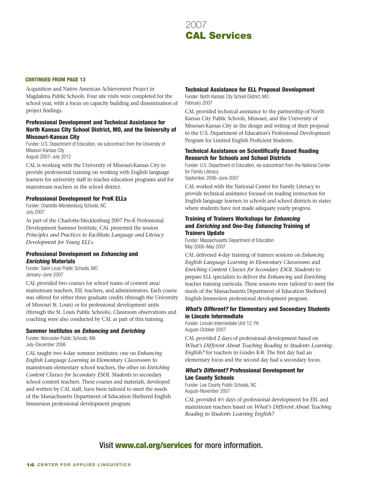# 2007 2007 **CAL Services**

#### continued FROM PAGE 13

Acquisition and Native American Achievement Project in Magdalena Public Schools. Four site visits were completed for the school year, with a focus on capacity building and dissemination of project findings.

#### Professional Development and Technical Assistance for North Kansas City School District, MO, and the University of Missouri-Kansas City

Funder: U.S. Department of Education, via subcontract from the University of Missouri-Kansas City August 2007–July 2012

CAL is working with the University of Missouri-Kansas City to provide professional training on working with English language learners for university staff in teacher education programs and for mainstream teachers in the school district.

#### Professional Development for PreK ELLs

Funder: Charlotte-Mecklenburg Schools, NC July 2007

As part of the Charlotte-Mecklenburg 2007 Pre-K Professional Development Summer Institute, CAL presented the session *Principles and Practices to Facilitate Language and Literacy Development for Young ELLs*.

### Professional Development on *Enhancing* and *Enriching* Materials

Funder: Saint Louis Public Schools, MO January–June 2007

CAL provided two courses for school teams of content area/ mainstream teachers, ESL teachers, and administrators. Each course was offered for either three graduate credits (through the University of Missouri St. Louis) or for professional development units (through the St. Louis Public Schools). Classroom observations and coaching were also conducted by CAL as part of this training.

#### Summer Institutes on *Enhancing* and *Enriching*

Funder: Worcester Public Schools, MA July–December 2006

CAL taught two 4-day summer institutes: one on *Enhancing English Language Learning in Elementary Classrooms* to mainstream elementary school teachers, the other on *Enriching Content Classes for Secondary ESOL Students* to secondary school content teachers. These courses and materials, developed and written by CAL staff, have been tailored to meet the needs of the Massachusetts Department of Education Sheltered English Immersion professional development program.

#### Technical Assistance for ELL Proposal Development

Funder: North Kansas City School District, MO February 2007

CAL provided technical assistance to the partnership of North Kansas City Public Schools, Missouri, and the University of Missouri-Kansas City in the design and writing of their proposal to the U.S. Department of Education's Professional Development Program for Limited English Proficient Students.

#### Technical Assistance on Scientifically Based Reading Research for Schools and School Districts

Funder: U.S. Department of Education, via subcontract from the National Center for Family Literacy

September 2006–June 2007

CAL worked with the National Center for Family Literacy to provide technical assistance focused on reading instruction for English language learners in schools and school districts in states where students have not made adequate yearly progress.

#### Training of Trainers Workshops for *Enhancing* and *Enriching* and One-Day *Enhancing* Training of Trainers Update

Funder: Massachusetts Department of Education May 2006–May 2007

CAL delivered 4-day training of trainers sessions on *Enhancing English Language Learning in Elementary Classrooms* and *Enriching Content Classes for Secondary ESOL Students* to prepare ELL specialists to deliver the *Enhancing* and *Enriching* teacher training curricula. These sessions were tailored to meet the needs of the Massachusetts Department of Education Sheltered English Immersion professional development program.

#### *What's Different?* for Elementary and Secondary Students in Lincoln Intermediate

Funder: Lincoln Intermediate Unit 12, PA August–October 2007

CAL provided 2 days of professional development based on *What's Different About Teaching Reading to Students Learning English?* for teachers in Grades K-8. The first day had an elementary focus and the second day had a secondary focus.

### *What's Different?* Professional Development for Lee County Schools

Funder: Lee County Public Schools, NC August–November 2007

CAL provided 4½ days of professional development for ESL and mainstream teachers based on *What's Different About Teaching Reading to Students Learning English?*

# Visit www.cal.org/services for more information.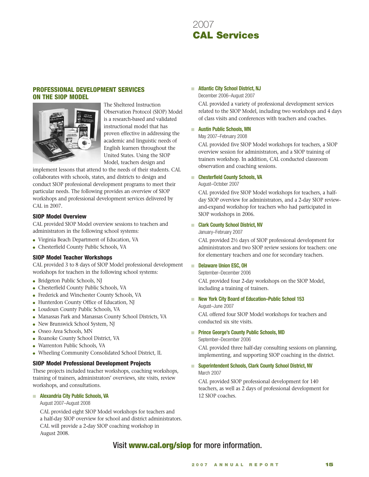

#### Professional Development Services on the SIOP Model



The Sheltered Instruction Observation Protocol (SIOP) Model is a research-based and validated instructional model that has proven effective in addressing the academic and linguistic needs of English learners throughout the United States. Using the SIOP Model, teachers design and

implement lessons that attend to the needs of their students. CAL collaborates with schools, states, and districts to design and conduct SIOP professional development programs to meet their particular needs. The following provides an overview of SIOP workshops and professional development services delivered by CAL in 2007.

#### SIOP Model Overview

CAL provided SIOP Model overview sessions to teachers and administrators in the following school systems:

- Virginia Beach Department of Education, VA
- Chesterfield County Public Schools, VA

#### SIOP Model Teacher Workshops

CAL provided 3 to 8 days of SIOP Model professional development workshops for teachers in the following school systems:

- Bridgeton Public Schools, NJ
- Chesterfield County Public Schools, VA
- Frederick and Winchester County Schools, VA
- Hunterdon County Office of Education, NJ
- Loudoun County Public Schools, VA
- Manassas Park and Manassas County School Districts, VA
- New Brunswick School System, NJ
- Osseo Area Schools, MN
- Roanoke County School District, VA
- Warrenton Public Schools, VA
- Wheeling Community Consolidated School District, IL

#### SIOP Model Professional Development Projects

These projects included teacher workshops, coaching workshops, training of trainers, administrators' overviews, site visits, review workshops, and consultations.

#### **Alexandria City Public Schools, VA** n

August 2007–August 2008

CAL provided eight SIOP Model workshops for teachers and a half-day SIOP overview for school and district administrators. CAL will provide a 2-day SIOP coaching workshop in August 2008.

#### **Atlantic City School District, NJ**

December 2006–August 2007

CAL provided a variety of professional development services related to the SIOP Model, including two workshops and 4 days of class visits and conferences with teachers and coaches.

#### **Austin Public Schools, MN** n

May 2007–February 2008

CAL provided five SIOP Model workshops for teachers, a SIOP overview session for administrators, and a SIOP training of trainers workshop. In addition, CAL conducted classroom observation and coaching sessions.

#### **Chesterfield County Schools, VA** n

#### August–October 2007

CAL provided five SIOP Model workshops for teachers, a halfday SIOP overview for administrators, and a 2-day SIOP reviewand-expand workshop for teachers who had participated in SIOP workshops in 2006.

#### **Clark County School District, NV** n

#### January–February 2007

CAL provided 2½ days of SIOP professional development for administrators and two SIOP review sessions for teachers: one for elementary teachers and one for secondary teachers.

#### **Delaware Union ESC, OH** n

September–December 2006

CAL provided four 2-day workshops on the SIOP Model, including a training of trainers.

#### **New York City Board of Education–Public School 153** n

August–June 2007

CAL offered four SIOP Model workshops for teachers and conducted six site visits.

#### **Refince George's County Public Schools, MD**

September–December 2006

CAL provided three half-day consulting sessions on planning, implementing, and supporting SIOP coaching in the district.

#### **Superintendent Schools, Clark County School District, NV** March 2007 n

CAL provided SIOP professional development for 140 teachers, as well as 2 days of professional development for 12 SIOP coaches.

# Visit **www.cal.org/siop** for more information.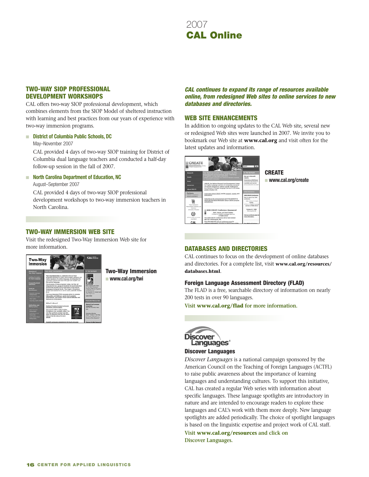

#### Two-Way SIOP Professional Development Workshops

CAL offers two-way SIOP professional development, which combines elements from the SIOP Model of sheltered instruction with learning and best practices from our years of experience with two-way immersion programs.

#### **District of Columbia Public Schools, DC** n

May–November 2007

CAL provided 4 days of two-way SIOP training for District of Columbia dual language teachers and conducted a half-day follow-up session in the fall of 2007.

#### **North Carolina Department of Education, NC** n

August–September 2007

CAL provided 4 days of two-way SIOP professional development workshops to two-way immersion teachers in North Carolina.

# Two-Way IMMERSION WEB SITE

Visit the redesigned Two-Way Immersion Web site for more information.



Two-Way Immersion n **www.cal.org/twi**

#### *CAL continues to expand its range of resources available online, from redesigned Web sites to online services to new databases and directories.*

#### Web Site Enhancements

In addition to ongoing updates to the CAL Web site, several new or redesigned Web sites were launched in 2007. We invite you to bookmark our Web site at **www.cal.org** and visit often for the latest updates and information.



**CREATE** n **www.cal.org/create**

# Databases and Directories

CAL continues to focus on the development of online databases and directories. For a complete list, visit **www.cal.org/resources/ databases.html**.

#### Foreign Language Assessment Directory (FLAD)

The FLAD is a free, searchable directory of information on nearly 200 tests in over 90 languages.

**Visit www.cal.org/flad for more information.**



#### Discover Languages

*Discover Languages* is a national campaign sponsored by the American Council on the Teaching of Foreign Languages (ACTFL) to raise public awareness about the importance of learning languages and understanding cultures. To support this initiative, CAL has created a regular Web series with information about specific languages. These language spotlights are introductory in nature and are intended to encourage readers to explore these languages and CAL's work with them more deeply. New language spotlights are added periodically. The choice of spotlight languages is based on the linguistic expertise and project work of CAL staff.

**Visit www.cal.org/resources and click on Discover Languages.**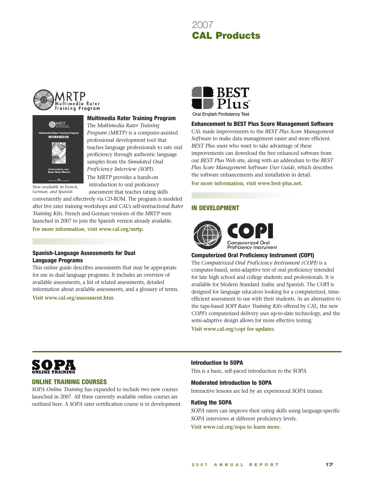





*Now available in French, German, and Spanish*

Multimedia Rater Training Program

The *Multimedia Rater Training Program (MRTP)* is a computer-assisted professional development tool that teaches language professionals to rate oral proficiency through authentic language samples from the *Simulated Oral Proficiency Interview (SOPI)*.

The *MRTP* provides a hands-on introduction to oral proficiency assessment that teaches rating skills

conveniently and effectively via CD-ROM. The program is modeled after live rater training workshops and CAL's self-instructional *Rater Training Kits*. French and German versions of the *MRTP* were launched in 2007 to join the Spanish version already available.

**For more information, visit www.cal.org/mrtp.**

#### Spanish-Language Assessments for Dual Language Programs

This online guide describes assessments that may be appropriate for use in dual language programs. It includes an overview of available assessments, a list of related assessments, detailed information about available assessments, and a glossary of terms.

**Visit www.cal.org/assessment.htm.**



Oral English Proficiency Test

#### Enhancement to BEST Plus Score Management Software

CAL made improvements to the *BEST Plus Score Management Software* to make data management easier and more efficient. *BEST Plus* users who want to take advantage of these improvements can download the free enhanced software from our *BEST Plus* Web site, along with an addendum to the *BEST Plus Score Management Software User Guide*, which describes the software enhancements and installation in detail.

**For more information, visit www.best-plus.net.**

#### In Development



#### Computerized Oral Proficiency Instrument (COPI)

The *Computerized Oral Proficiency Instrument (COPI)* is a computer-based, semi-adaptive test of oral proficiency intended for late high school and college students and professionals. It is available for Modern Standard Arabic and Spanish. The *COPI* is designed for language educators looking for a computerized, timeefficient assessment to use with their students. As an alternative to the tape-based *SOPI Rater Training Kits* offered by CAL, the new *COPI's* computerized delivery uses up-to-date technology, and the semi-adaptive design allows for more effective testing.

**Visit www.cal.org/copi for updates.**



#### Online Training Courses

*SOPA Online Training* has expanded to include two new courses launched in 2007. All three currently available online courses are outlined here. A *SOPA* rater certification course is in development.

#### Introduction to SOPA

This is a basic, self-paced introduction to the *SOPA*.

#### Moderated Introduction to SOPA

Interactive lessons are led by an experienced *SOPA* trainer.

#### Rating the SOPA

*SOPA* raters can improve their rating skills using language-specific *SOPA* interviews at different proficiency levels.

**Visit www.cal.org/sopa to learn more.**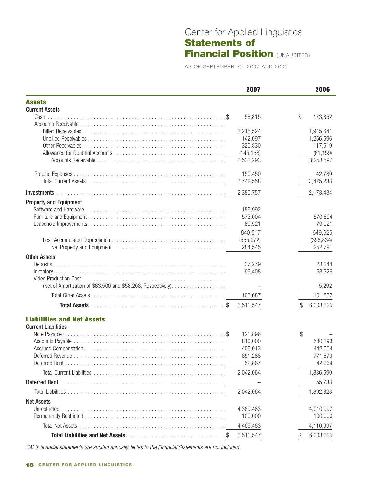# Center for Applied Linguistics Statements of **Financial Position (UNAUDITED)**

AS OF SEPTEMBER 30, 2007 AND 2006

|                                                              | 2007                    | 2006                   |
|--------------------------------------------------------------|-------------------------|------------------------|
| <b>Assets</b>                                                |                         |                        |
| <b>Current Assets</b>                                        |                         |                        |
| $Cash \dots$                                                 | 58,815                  | \$<br>173,852          |
|                                                              |                         |                        |
|                                                              | 3,215,524               | 1,945,641              |
|                                                              | 142,097                 | 1,256,596              |
|                                                              | 320,830                 | 117,519                |
|                                                              | (145, 158)<br>3,533,293 | (61, 159)<br>3,258,597 |
|                                                              |                         |                        |
|                                                              | 150,450                 | 42,789                 |
|                                                              | 3,742,558               | 3,475,238              |
|                                                              | 2,380,757               | 2,173,434              |
| <b>Property and Equipment</b>                                |                         |                        |
|                                                              | 186,992                 |                        |
|                                                              | 573,004                 | 570,604                |
|                                                              | 80,521                  | 79,021                 |
|                                                              | 840,517                 | 649,625                |
|                                                              | (555, 972)              | (396, 834)             |
|                                                              | 284,545                 | 252,791                |
| <b>Other Assets</b>                                          |                         |                        |
| Deposits.                                                    | 37,279                  | 28,244                 |
|                                                              | 66,408                  | 68,326                 |
|                                                              |                         |                        |
| (Net of Amortization of \$63,500 and \$58,208, Respectively) |                         | 5,292                  |
|                                                              | 103,687                 | 101,862                |
|                                                              | 6,511,547               | 6,003,325              |
| <b>Liabilities and Net Assets</b>                            |                         |                        |
| <b>Current Liabilities</b>                                   |                         |                        |
|                                                              | 121,896                 | \$                     |
|                                                              | 810,000                 | 580,293                |
|                                                              | 406,013                 | 442,054                |
| Deferred Revenue                                             | 651,288                 | 771,879                |
|                                                              | 52,867                  | 42,364                 |
|                                                              | 2,042,064               | 1,836,590              |
|                                                              |                         | 55,738                 |
|                                                              | 2,042,064               | 1,892,328              |
| <b>Net Assets</b>                                            |                         |                        |
| Unrestricted                                                 | 4,369,483               | 4,010,997              |
|                                                              | 100,000                 | 100,000                |
|                                                              | 4,469,483               | 4,110,997              |
|                                                              | 6,511,547               | 6,003,325              |

*CAL's financial statements are audited annually. Notes to the Financial Statements are not included.*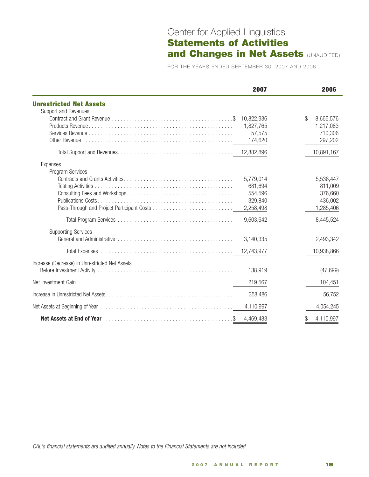# Center for Applied Linguistics Statements of Activities and Changes in Net Assets (UNAUDITED)

FOR THE YEARS ENDED SEPTEMBER 30, 2007 AND 2006

|                                                | 2007       | 2006            |
|------------------------------------------------|------------|-----------------|
| <b>Unrestricted Net Assets</b>                 |            |                 |
| Support and Revenues                           |            |                 |
|                                                | 10,822,936 | \$<br>8,666,576 |
|                                                | 1,827,765  | 1,217,083       |
|                                                | 57,575     | 710,306         |
|                                                | 174,620    | 297,202         |
|                                                |            | 10,891,167      |
| Expenses                                       |            |                 |
| Program Services                               |            |                 |
|                                                | 5,779,014  | 5,536,447       |
|                                                | 681,694    | 811,009         |
|                                                | 554,596    | 376,660         |
|                                                | 329,840    | 436,002         |
|                                                | 2,258,498  | 1,285,406       |
|                                                | 9,603,642  | 8,445,524       |
| <b>Supporting Services</b>                     |            |                 |
|                                                | 3,140,335  | 2,493,342       |
|                                                |            | 10,938,866      |
| Increase (Decrease) in Unrestricted Net Assets |            |                 |
|                                                | 138,919    | (47, 699)       |
|                                                | 219,567    | 104,451         |
|                                                | 358,486    | 56,752          |
|                                                | 4,110,997  | 4,054,245       |
|                                                | 4,469,483  | 4,110,997<br>\$ |

*CAL's financial statements are audited annually. Notes to the Financial Statements are not included.*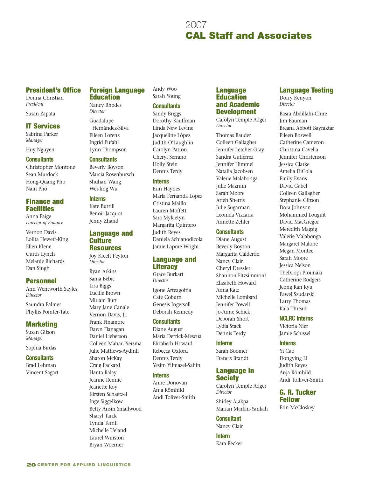# 2007 2007 **CAL Staff and Associates**

# President's Office

Donna Christian *President*

Susan Zapata

## IT Services

Sabrina Parker *Manager*

Huy Nguyen

#### **Consultants**

Christopher Montone Sean Murdock Hong-Quang Pho Nam Pho

# Finance and **Facilities**

Anna Paige *Director of Finance*

Vernon Davis Lolita Hewett-King Ellen Klene Curtis Lynch Melanie Richards Dan Singh

## Personnel

Ann Wentworth Sayles *Director* 

Saundra Palmer Phyllis Pointer-Tate

## Marketing

Susan Gilson *Manager*

Sophia Birdas

### **Consultants**

Brad Lehman Vincent Sagart

#### **Foreign Language** Education

Nancy Rhodes *Director*

Guadalupe Hernández-Silva Eileen Lorenz Ingrid Pufahl Lynn Thompson

#### **Consultants**

Beverly Boyson Marcia Rosenbursch Shuhan Wang Wei-ling Wu

#### **Interns**

Kate Burrill Benoit Jacquot Jenny Zhand

### Language and **Culture Resources**

Joy Kreeft Peyton *Director*

Ryan Atkins Sanja Bebic Lisa Biggs Lucille Brown Miriam Burt Mary Jane Canale Vernon Davis, Jr. Frank Finamore Dawn Flanagan Daniel Lieberson Colleen Mahar-Piersma Julie Mathews-Aydinli Sharon McKay Craig Packard Hanta Ralay Jeanne Rennie Jeanette Roy Kirsten Schaetzel Inge Siggelkow Betty Ansin Smallwood Sharyl Tarck Lynda Terrill Michelle Ueland Laurel Winston Bryan Woerner

Andy Woo Sarah Young

### **Consultants**

Sandy Briggs Dorothy Kauffman Linda New Levine Jacqueline López Judith O'Laughlin Carolyn Patton Cheryl Serrano Holly Stein Dennis Terdy

#### **Interns**

Erin Haynes Maria Fernanda Lopez Cristina Maillo Lauren Moffett Sara Mykietyn Margarita Quintero Judith Reyes Daniela Schianodicola Jamie Lapore Wright

# Language and Literacy

Grace Burkart *Director*

Igone Arteagoitia Cate Coburn Genesis Ingersoll Deborah Kennedy

#### **Consultants**

Diane August María Derrick-Mescua Elizabeth Howard Rebecca Oxford Dennis Terdy Yesim Yilmazel-Sahin

#### **Interns**

Anne Donovan Anja Römhild Andi Toliver-Smith

#### **Language Education** and Academic **Development**

Carolyn Temple Adger *Director*

Thomas Bauder Colleen Gallagher Jennifer Letcher Gray Sandra Gutiérrez Jennifer Himmel Natalia Jacobsen Valerie Malabonga Julie Mazrum Sarah Moore Arieh Sherris Julie Sugarman Leonida Vizcarra Annette Zehler

### **Consultants**

Diane August Beverly Boyson Margarita Calderón Nancy Clair Cheryl Dressler Shannon Fitzsimmons Elizabeth Howard Anna Katz Michelle Lombard Jennifer Powell Jo-Anne Schick Deborah Short Lydia Stack Dennis Terdy

#### **Interns**

Sarah Boomer Francis Brandt

# Language in **Society**

Carolyn Temple Adger *Director*

Shirley Atakpa Marian Markin-Yankah

### **Consultant**

Nancy Clair

**Intern** Kara Becker

# Language Testing

Dorry Kenyon *Director*

Basra Abdillahi-Chire Jim Bauman Breana Abbott Bayraktar Eileen Boswell Catherine Cameron Christina Cavella Jennifer Christenson Jessica Clarke Amelia DiCola Emily Evans David Gabel Colleen Gallagher Stephanie Gibson Dora Johnson Mohammed Louguit David MacGregor Meredith Magsig Valerie Malabonga Margaret Malone Megan Montee Sarah Moore Jessica Nelson Thelxiopi Proimaki Catherine Rodgers Jeong Ran Ryu Pawel Szudarski Larry Thomas Kala Threatt

**NCLRC Interns**

Victoria Nier Jamie Schissel

#### **Interns**

Yi Cao Dongying Li Judith Reyes Anja Römhild Andi Tolliver-Smith

G. R. Tucker Fellow

Erin McCloskey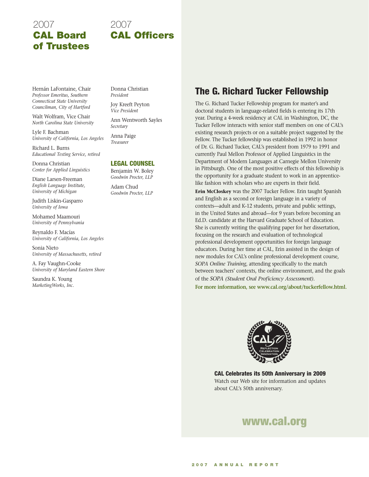# 2007 CAL Board of Trustees

# 2007 CAL Officers

Hernán LaFontaine, Chair *Professor Emeritus, Southern Connecticut State University Councilman, City of Hartford*

Walt Wolfram, Vice Chair *North Carolina State University*

Lyle F. Bachman *University of California, Los Angeles*

Richard L. Burns *Educational Testing Service, retired*

Donna Christian *Center for Applied Linguistics*

Diane Larsen-Freeman *English Language Institute, University of Michigan*

Judith Liskin-Gasparro *University of Iowa*

Mohamed Maamouri *University of Pennsylvania*

Reynaldo F. Macías *University of California, Los Angeles*

Sonia Nieto *University of Massachusetts, retired*

A. Fay Vaughn-Cooke *University of Maryland Eastern Shore*

Saundra K. Young *MarketingWorks, Inc.* Donna Christian *President*

Joy Kreeft Peyton *Vice President*

Ann Wentworth Sayles *Secretary*

Anna Paige *Treasurer*

#### Legal Counsel

Benjamin W. Boley *Goodwin Procter, LLP*

Adam Chud *Goodwin Procter, LLP*

# The G. Richard Tucker Fellowship

The G. Richard Tucker Fellowship program for master's and doctoral students in language-related fields is entering its 17th year. During a 4-week residency at CAL in Washington, DC, the Tucker Fellow interacts with senior staff members on one of CAL's existing research projects or on a suitable project suggested by the Fellow. The Tucker fellowship was established in 1992 in honor of Dr. G. Richard Tucker, CAL's president from 1979 to 1991 and currently Paul Mellon Professor of Applied Linguistics in the Department of Modern Languages at Carnegie Mellon University in Pittsburgh. One of the most positive effects of this fellowship is the opportunity for a graduate student to work in an apprenticelike fashion with scholars who are experts in their field.

**Erin McCloskey** was the 2007 Tucker Fellow. Erin taught Spanish and English as a second or foreign language in a variety of contexts—adult and K-12 students, private and public settings, in the United States and abroad—for 9 years before becoming an Ed.D. candidate at the Harvard Graduate School of Education. She is currently writing the qualifying paper for her dissertation, focusing on the research and evaluation of technological professional development opportunities for foreign language educators. During her time at CAL, Erin assisted in the design of new modules for CAL's online professional development course, *SOPA Online Training*, attending specifically to the match between teachers' contexts, the online environment, and the goals of the *SOPA (Student Oral Proficiency Assessment)*.

**For more information, see www.cal.org/about/tuckerfellow.html.**



CAL Celebrates its 50th Anniversary in 2009 Watch our Web site for information and updates about CAL's 50th anniversary.

# www.cal.org